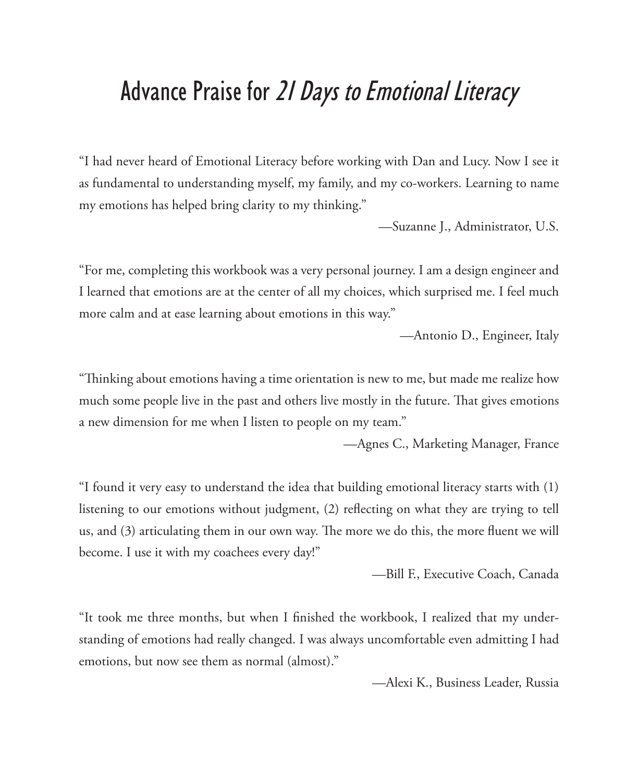#### Advance Praise for 21 Days to Emotional Literacy

"I had never heard of Emotional Literacy before working with Dan and Lucy. Now I see it as fundamental to understanding myself, my family, and my co-workers. Learning to name my emotions has helped bring clarity to my thinking."

—Suzanne J., Administrator, U.S.

"For me, completing this workbook was a very personal journey. I am a design engineer and I learned that emotions are at the center of all my choices, which surprised me. I feel much more calm and at ease learning about emotions in this way."

—Antonio D., Engineer, Italy

"Thinking about emotions having a time orientation is new to me, but made me realize how much some people live in the past and others live mostly in the future. That gives emotions a new dimension for me when I listen to people on my team."

—Agnes C., Marketing Manager, France

"I found it very easy to understand the idea that building emotional literacy starts with (1) listening to our emotions without judgment, (2) reflecting on what they are trying to tell us, and (3) articulating them in our own way. The more we do this, the more fluent we will become. I use it with my coachees every day!"

—Bill F., Executive Coach, Canada

"It took me three months, but when I finished the workbook, I realized that my understanding of emotions had really changed. I was always uncomfortable even admitting I had emotions, but now see them as normal (almost)."

—Alexi K., Business Leader, Russia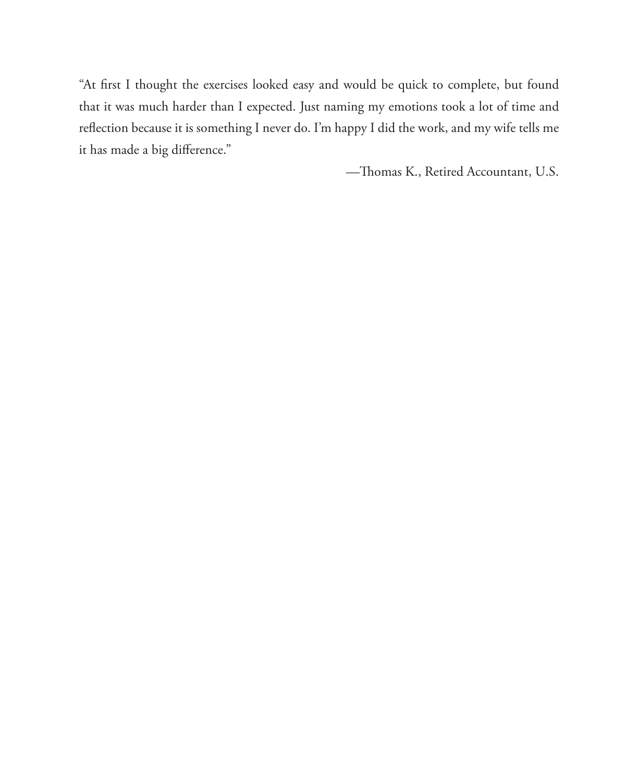"At first I thought the exercises looked easy and would be quick to complete, but found that it was much harder than I expected. Just naming my emotions took a lot of time and reflection because it is something I never do. I'm happy I did the work, and my wife tells me it has made a big difference."

-Thomas K., Retired Accountant, U.S.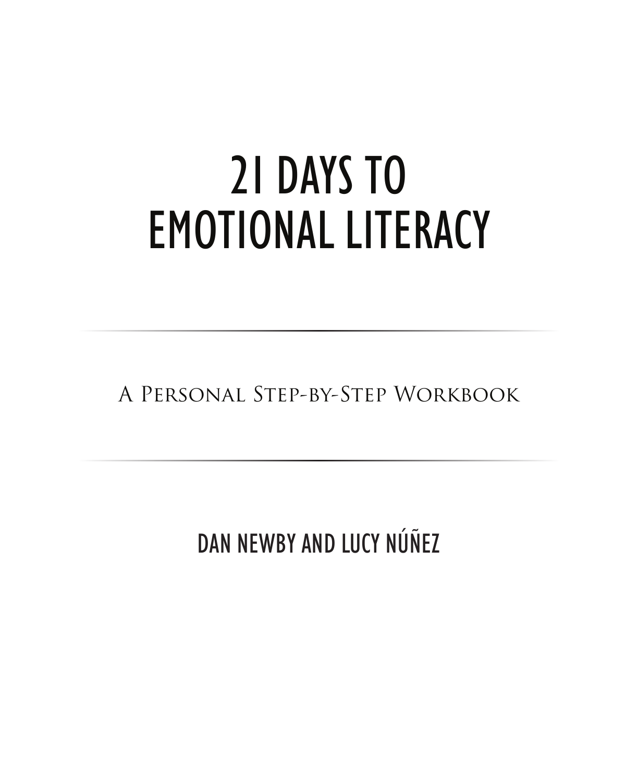# 21 DAYS TO **EMOTIONAL LITERACY**

A PERSONAL STEP-BY-STEP WORKBOOK

DAN NEWBY AND LUCY NÚÑEZ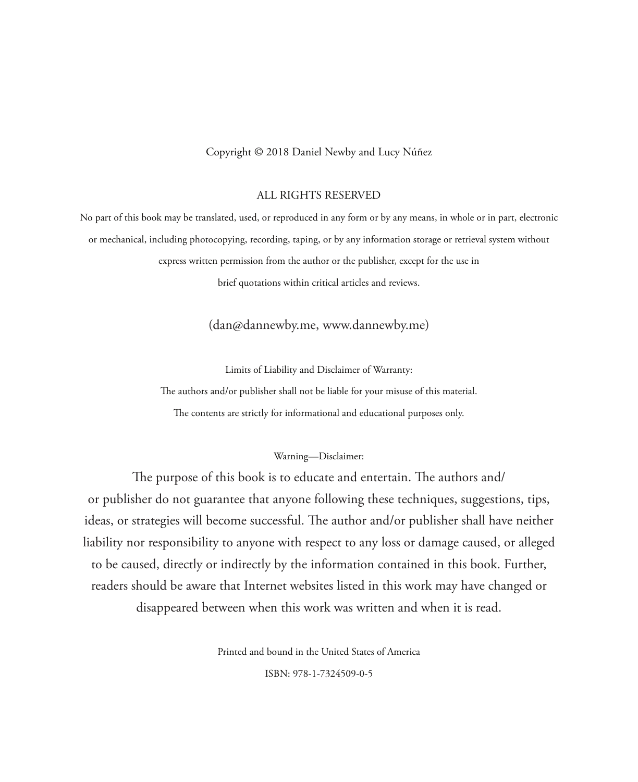Copyright © 2018 Daniel Newby and Lucy Núñez

#### ALL RIGHTS RESERVED

No part of this book may be translated, used, or reproduced in any form or by any means, in whole or in part, electronic or mechanical, including photocopying, recording, taping, or by any information storage or retrieval system without express written permission from the author or the publisher, except for the use in

brief quotations within critical articles and reviews.

(dan@dannewby.me, www.dannewby.me)

Limits of Liability and Disclaimer of Warranty:

The authors and/or publisher shall not be liable for your misuse of this material.

The contents are strictly for informational and educational purposes only.

#### Warning—Disclaimer:

The purpose of this book is to educate and entertain. The authors and/ or publisher do not guarantee that anyone following these techniques, suggestions, tips, ideas, or strategies will become successful. The author and/or publisher shall have neither liability nor responsibility to anyone with respect to any loss or damage caused, or alleged to be caused, directly or indirectly by the information contained in this book. Further, readers should be aware that Internet websites listed in this work may have changed or disappeared between when this work was written and when it is read.

Printed and bound in the United States of America

ISBN: 978-1-7324509-0-5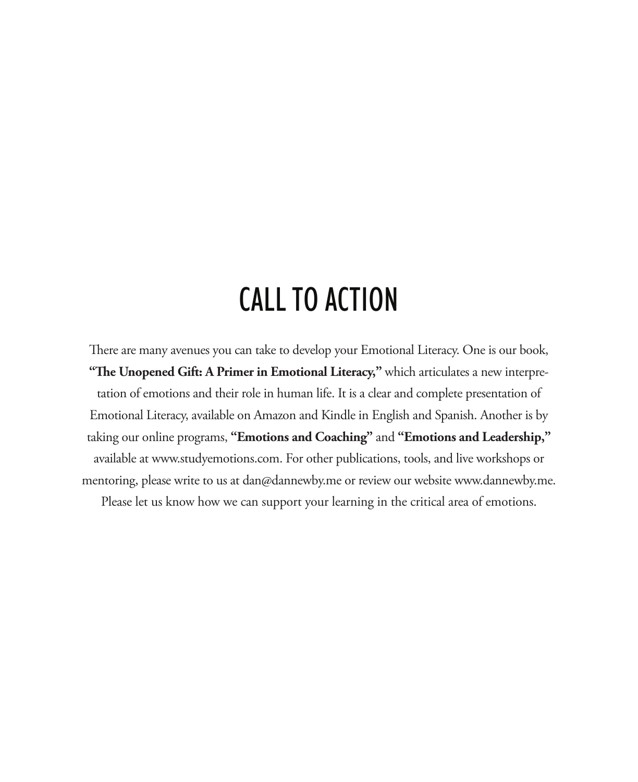### CALL TO ACTION

There are many avenues you can take to develop your Emotional Literacy. One is our book, "The Unopened Gift: A Primer in Emotional Literacy," which articulates a new interpretation of emotions and their role in human life. It is a clear and complete presentation of Emotional Literacy, available on Amazon and Kindle in English and Spanish. Another is by taking our online programs, **"Emotions and Coaching"** and **"Emotions and Leadership,"**  available at www.studyemotions.com. For other publications, tools, and live workshops or mentoring, please write to us at dan@dannewby.me or review our website www.dannewby.me. Please let us know how we can support your learning in the critical area of emotions.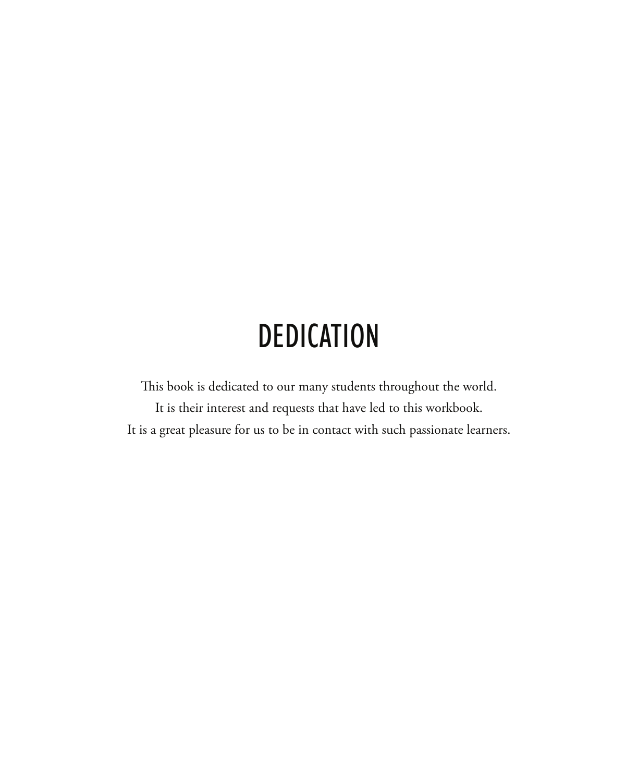# **DEDICATION**

This book is dedicated to our many students throughout the world. It is their interest and requests that have led to this workbook. It is a great pleasure for us to be in contact with such passionate learners.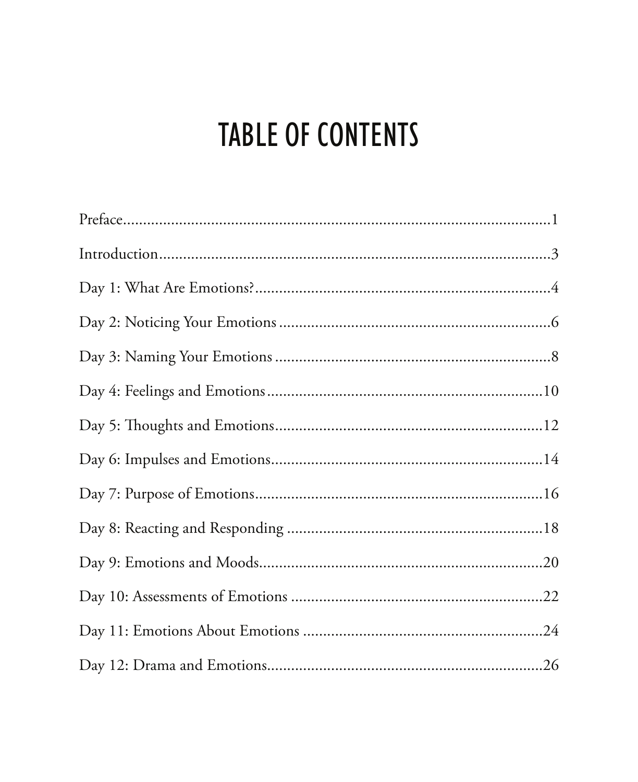# **TABLE OF CONTENTS**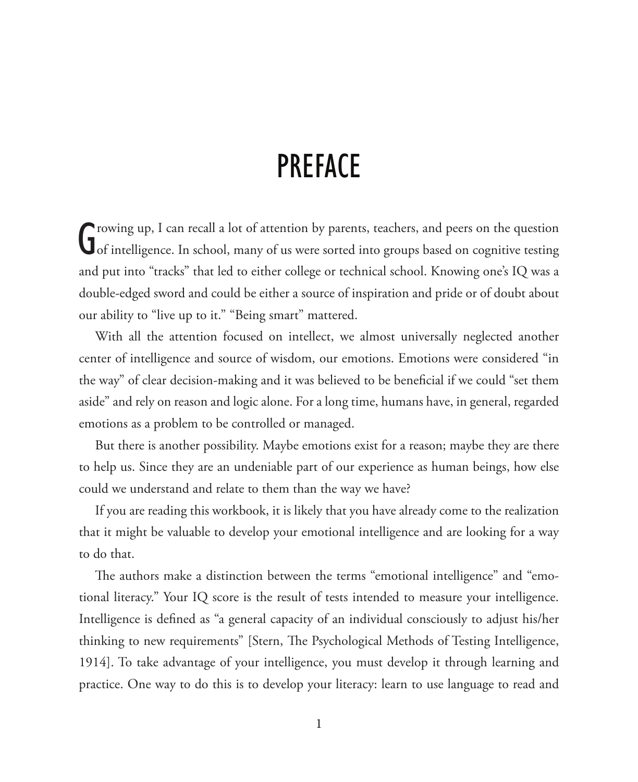#### **PREFACE**

G rowing up, I can recall a lot of attention by parents, teachers, and peers on the question<br>of intelligence. In school, many of us were sorted into groups based on cognitive testing rowing up, I can recall a lot of attention by parents, teachers, and peers on the question and put into "tracks" that led to either college or technical school. Knowing one's IQ was a double-edged sword and could be either a source of inspiration and pride or of doubt about our ability to "live up to it." "Being smart" mattered.

With all the attention focused on intellect, we almost universally neglected another center of intelligence and source of wisdom, our emotions. Emotions were considered "in the way" of clear decision-making and it was believed to be beneficial if we could "set them aside" and rely on reason and logic alone. For a long time, humans have, in general, regarded emotions as a problem to be controlled or managed.

But there is another possibility. Maybe emotions exist for a reason; maybe they are there to help us. Since they are an undeniable part of our experience as human beings, how else could we understand and relate to them than the way we have?

If you are reading this workbook, it is likely that you have already come to the realization that it might be valuable to develop your emotional intelligence and are looking for a way to do that.

The authors make a distinction between the terms "emotional intelligence" and "emotional literacy." Your IQ score is the result of tests intended to measure your intelligence. Intelligence is defined as "a general capacity of an individual consciously to adjust his/her thinking to new requirements" [Stern, The Psychological Methods of Testing Intelligence, 1914]. To take advantage of your intelligence, you must develop it through learning and practice. One way to do this is to develop your literacy: learn to use language to read and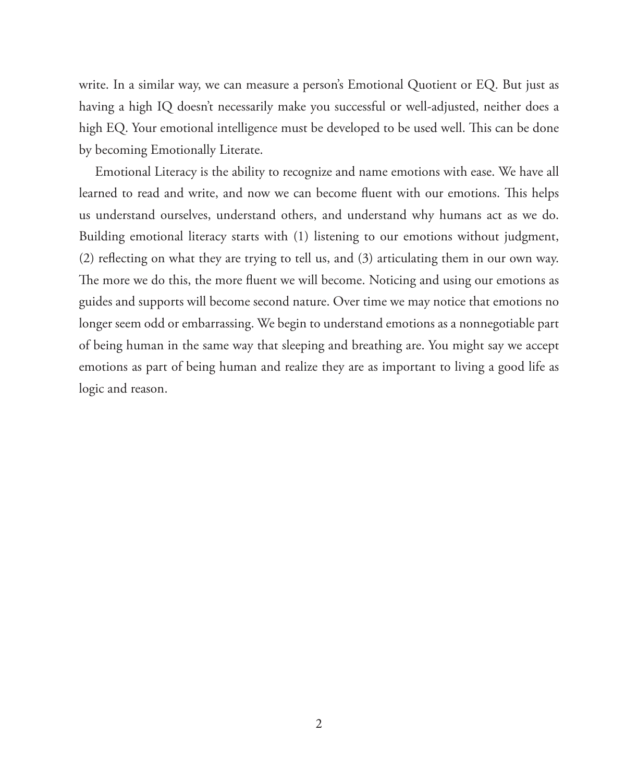write. In a similar way, we can measure a person's Emotional Quotient or EQ. But just as having a high IQ doesn't necessarily make you successful or well-adjusted, neither does a high EQ. Your emotional intelligence must be developed to be used well. This can be done by becoming Emotionally Literate.

Emotional Literacy is the ability to recognize and name emotions with ease. We have all learned to read and write, and now we can become fluent with our emotions. This helps us understand ourselves, understand others, and understand why humans act as we do. Building emotional literacy starts with (1) listening to our emotions without judgment, (2) reflecting on what they are trying to tell us, and  $(3)$  articulating them in our own way. The more we do this, the more fluent we will become. Noticing and using our emotions as guides and supports will become second nature. Over time we may notice that emotions no longer seem odd or embarrassing. We begin to understand emotions as a nonnegotiable part of being human in the same way that sleeping and breathing are. You might say we accept emotions as part of being human and realize they are as important to living a good life as logic and reason.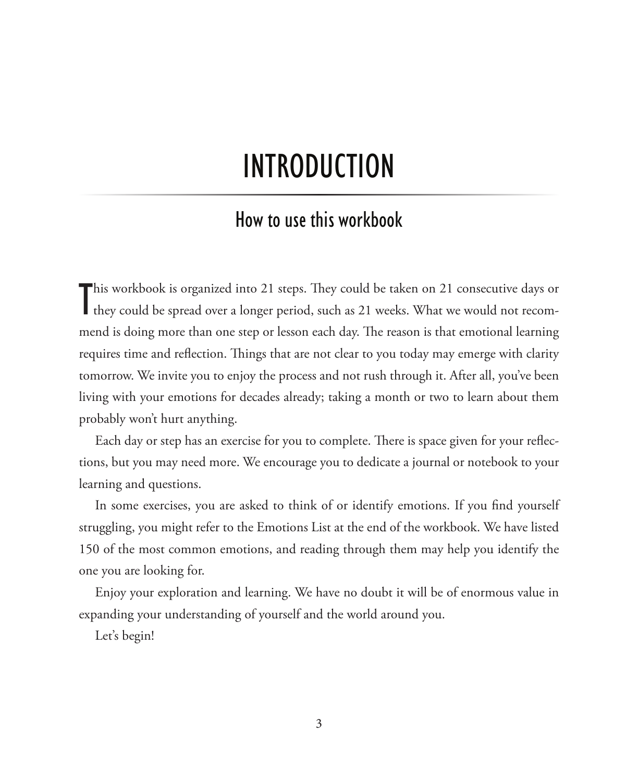#### **INTRODUCTION**

#### how to use this workbook

This workbook is organized into 21 steps. They could be taken on 21 consecutive days or they could be spread over a longer period, such as 21 weeks. What we would not recomthey could be spread over a longer period, such as 21 weeks. What we would not recommend is doing more than one step or lesson each day. The reason is that emotional learning requires time and reflection. Things that are not clear to you today may emerge with clarity tomorrow. We invite you to enjoy the process and not rush through it. After all, you've been living with your emotions for decades already; taking a month or two to learn about them probably won't hurt anything.

Each day or step has an exercise for you to complete. There is space given for your reflections, but you may need more. We encourage you to dedicate a journal or notebook to your learning and questions.

In some exercises, you are asked to think of or identify emotions. If you find yourself struggling, you might refer to the Emotions List at the end of the workbook. We have listed 150 of the most common emotions, and reading through them may help you identify the one you are looking for.

Enjoy your exploration and learning. We have no doubt it will be of enormous value in expanding your understanding of yourself and the world around you.

Let's begin!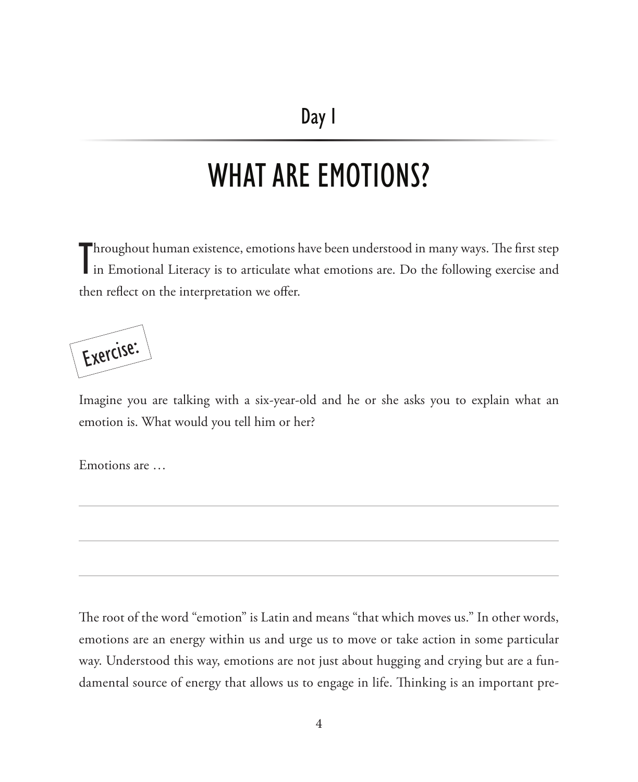### WHAT ARE EMOTIONS?

Throughout human existence, emotions have been understood in many ways. The first step<br>in Emotional Literacy is to articulate what emotions are. Do the following exercise and Throughout human existence, emotions have been understood in many ways. The first step then reflect on the interpretation we offer.

Exercise:

Imagine you are talking with a six-year-old and he or she asks you to explain what an emotion is. What would you tell him or her?

Emotions are …

The root of the word "emotion" is Latin and means "that which moves us." In other words, emotions are an energy within us and urge us to move or take action in some particular way. Understood this way, emotions are not just about hugging and crying but are a fundamental source of energy that allows us to engage in life. Thinking is an important pre